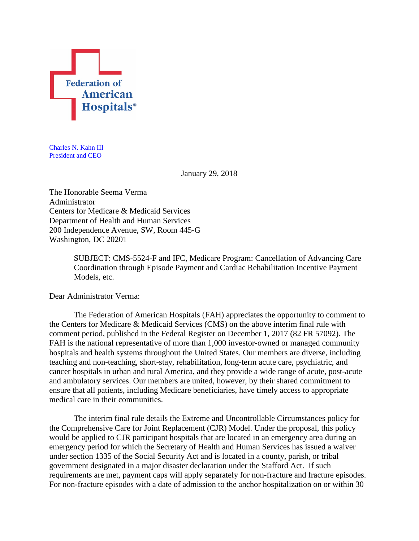

Charles N. Kahn III President and CEO

January 29, 2018

The Honorable Seema Verma Administrator Centers for Medicare & Medicaid Services Department of Health and Human Services 200 Independence Avenue, SW, Room 445-G Washington, DC 20201

> SUBJECT: CMS-5524-F and IFC, Medicare Program: Cancellation of Advancing Care Coordination through Episode Payment and Cardiac Rehabilitation Incentive Payment Models, etc.

Dear Administrator Verma:

The Federation of American Hospitals (FAH) appreciates the opportunity to comment to the Centers for Medicare & Medicaid Services (CMS) on the above interim final rule with comment period, published in the Federal Register on December 1, 2017 (82 FR 57092). The FAH is the national representative of more than 1,000 investor-owned or managed community hospitals and health systems throughout the United States. Our members are diverse, including teaching and non-teaching, short-stay, rehabilitation, long-term acute care, psychiatric, and cancer hospitals in urban and rural America, and they provide a wide range of acute, post-acute and ambulatory services. Our members are united, however, by their shared commitment to ensure that all patients, including Medicare beneficiaries, have timely access to appropriate medical care in their communities.

The interim final rule details the Extreme and Uncontrollable Circumstances policy for the Comprehensive Care for Joint Replacement (CJR) Model. Under the proposal, this policy would be applied to CJR participant hospitals that are located in an emergency area during an emergency period for which the Secretary of Health and Human Services has issued a waiver under section 1335 of the Social Security Act and is located in a county, parish, or tribal government designated in a major disaster declaration under the Stafford Act. If such requirements are met, payment caps will apply separately for non-fracture and fracture episodes. For non-fracture episodes with a date of admission to the anchor hospitalization on or within 30